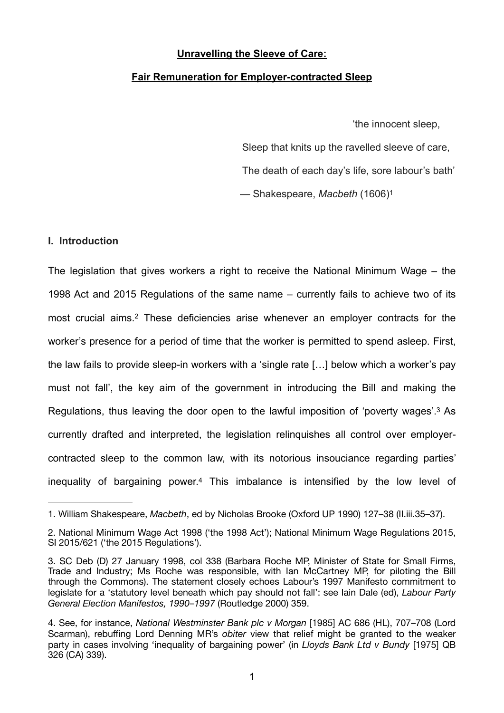### **Unravelling the Sleeve of Care:**

### **Fair Remuneration for Employer-contracted Sleep**

<span id="page-0-6"></span><span id="page-0-4"></span>'the innocent sleep,

Sleep that knits up the ravelled sleeve of care, The death of each day's life, sore labour's bath' — Shakespeare, *Macbeth* (1606[\)1](#page-0-0)

### **I. Introduction**

<span id="page-0-5"></span>The legislation that gives workers a right to receive the National Minimum Wage – the 1998 Act and 2015 Regulations of the same name – currently fails to achieve two of its most crucial aims.<sup>[2](#page-0-1)</sup> These deficiencies arise whenever an employer contracts for the worker's presence for a period of time that the worker is permitted to spend asleep. First, the law fails to provide sleep-in workers with a 'single rate […] below which a worker's pay must not fall', the key aim of the government in introducing the Bill and making the Regulations, thus leaving the door open to the lawful imposition of 'poverty wages'.<sup>[3](#page-0-2)</sup> As currently drafted and interpreted, the legislation relinquishes all control over employercontracted sleep to the common law, with its notorious insouciance regarding parties' inequality of bargaining power.<sup>[4](#page-0-3)</sup> This imbalance is intensified by the low level of

<span id="page-0-7"></span><span id="page-0-0"></span>[<sup>1.</sup>](#page-0-4) William Shakespeare, *Macbeth*, ed by Nicholas Brooke (Oxford UP 1990) 127–38 (II.iii.35–37).

<span id="page-0-1"></span>[<sup>2.</sup>](#page-0-5) National Minimum Wage Act 1998 ('the 1998 Act'); National Minimum Wage Regulations 2015, SI 2015/621 ('the 2015 Regulations').

<span id="page-0-2"></span>[<sup>3.</sup>](#page-0-6) SC Deb (D) 27 January 1998, col 338 (Barbara Roche MP, Minister of State for Small Firms, Trade and Industry; Ms Roche was responsible, with Ian McCartney MP, for piloting the Bill through the Commons). The statement closely echoes Labour's 1997 Manifesto commitment to legislate for a 'statutory level beneath which pay should not fall': see Iain Dale (ed), *Labour Party General Election Manifestos, 1990–1997* (Routledge 2000) 359.

<span id="page-0-3"></span>[<sup>4.</sup>](#page-0-7) See, for instance, *National Westminster Bank plc v Morgan* [1985] AC 686 (HL), 707–708 (Lord Scarman), rebuffing Lord Denning MR's *obiter* view that relief might be granted to the weaker party in cases involving 'inequality of bargaining power' (in *Lloyds Bank Ltd v Bundy* [1975] QB 326 (CA) 339).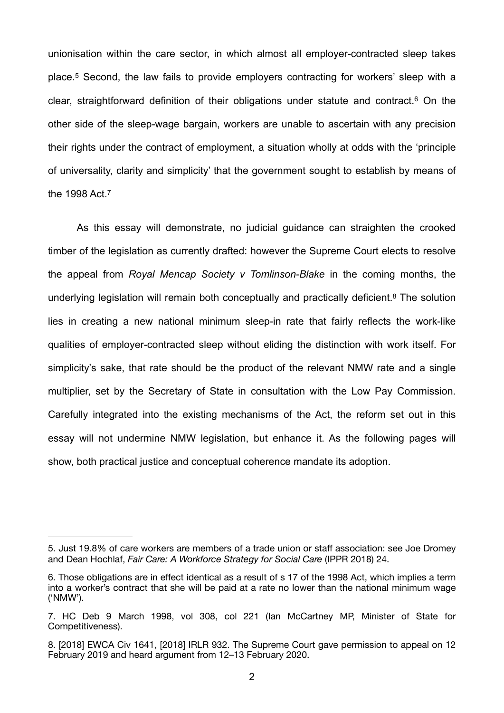<span id="page-1-5"></span><span id="page-1-4"></span>unionisation within the care sector, in which almost all employer-contracted sleep takes place.<sup>[5](#page-1-0)</sup> Second, the law fails to provide employers contracting for workers' sleep with a clear, straightforward definition of their obligations under statute and contract.<sup>[6](#page-1-1)</sup> On the other side of the sleep-wage bargain, workers are unable to ascertain with any precision their rights under the contract of employment, a situation wholly at odds with the 'principle of universality, clarity and simplicity' that the government sought to establish by means of the 1998 Act.<sup>[7](#page-1-2)</sup>

<span id="page-1-7"></span><span id="page-1-6"></span>As this essay will demonstrate, no judicial guidance can straighten the crooked timber of the legislation as currently drafted: however the Supreme Court elects to resolve the appeal from *Royal Mencap Society v Tomlinson-Blake* in the coming months, the underlying legislation will remain both conceptually and practically deficient.<sup>[8](#page-1-3)</sup> The solution lies in creating a new national minimum sleep-in rate that fairly reflects the work-like qualities of employer-contracted sleep without eliding the distinction with work itself. For simplicity's sake, that rate should be the product of the relevant NMW rate and a single multiplier, set by the Secretary of State in consultation with the Low Pay Commission. Carefully integrated into the existing mechanisms of the Act, the reform set out in this essay will not undermine NMW legislation, but enhance it. As the following pages will show, both practical justice and conceptual coherence mandate its adoption.

<span id="page-1-0"></span>[<sup>5.</sup>](#page-1-4) Just 19.8% of care workers are members of a trade union or staff association: see Joe Dromey and Dean Hochlaf, *Fair Care: A Workforce Strategy for Social Care* (IPPR 2018) 24.

<span id="page-1-1"></span>[<sup>6.</sup>](#page-1-5) Those obligations are in effect identical as a result of s 17 of the 1998 Act, which implies a term into a worker's contract that she will be paid at a rate no lower than the national minimum wage ('NMW').

<span id="page-1-2"></span>[<sup>7.</sup>](#page-1-6) HC Deb 9 March 1998, vol 308, col 221 (Ian McCartney MP, Minister of State for Competitiveness).

<span id="page-1-3"></span>[<sup>8.</sup>](#page-1-7) [2018] EWCA Civ 1641, [2018] IRLR 932. The Supreme Court gave permission to appeal on 12 February 2019 and heard argument from 12–13 February 2020.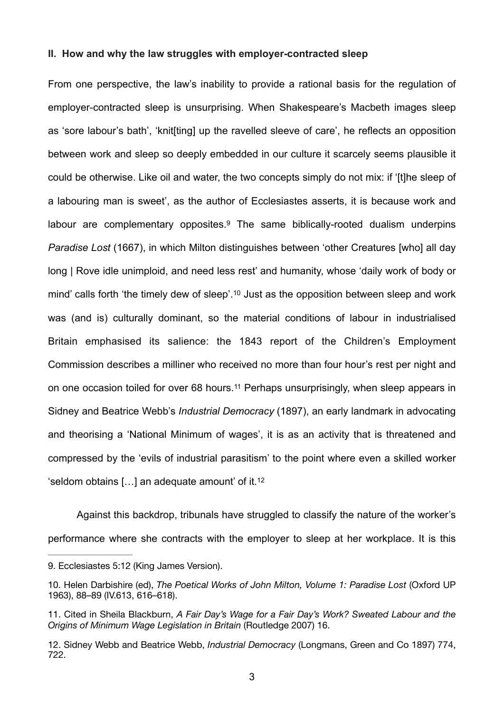#### **II. How and why the law struggles with employer-contracted sleep**

<span id="page-2-5"></span><span id="page-2-4"></span>From one perspective, the law's inability to provide a rational basis for the regulation of employer-contracted sleep is unsurprising. When Shakespeare's Macbeth images sleep as 'sore labour's bath', 'knit[ting] up the ravelled sleeve of care', he reflects an opposition between work and sleep so deeply embedded in our culture it scarcely seems plausible it could be otherwise. Like oil and water, the two concepts simply do not mix: if '[t]he sleep of a labouring man is sweet', as the author of Ecclesiastes asserts, it is because work and labour are complementary opposites. $9$  The same biblically-rooted dualism underpins *Paradise Lost* (1667), in which Milton distinguishes between 'other Creatures [who] all day long | Rove idle unimploid, and need less rest' and humanity, whose 'daily work of body or mind' calls forth 'the timely dew of sleep'[.](#page-2-1)<sup>[10](#page-2-1)</sup> Just as the opposition between sleep and work was (and is) culturally dominant, so the material conditions of labour in industrialised Britain emphasised its salience: the 1843 report of the Children's Employment Commission describes a milliner who received no more than four hour's rest per night and on one occasion toiled for over 68 hours.<sup>[11](#page-2-2)</sup> Perhaps unsurprisingly, when sleep appears in Sidney and Beatrice Webb's *Industrial Democracy* (1897), an early landmark in advocating and theorising a 'National Minimum of wages', it is as an activity that is threatened and compressed by the 'evils of industrial parasitism' to the point where even a skilled worker 'seldom obtains […] an adequate amount' of it.[12](#page-2-3)

<span id="page-2-7"></span><span id="page-2-6"></span>Against this backdrop, tribunals have struggled to classify the nature of the worker's performance where she contracts with the employer to sleep at her workplace. It is this

<span id="page-2-0"></span>[<sup>9.</sup>](#page-2-4) Ecclesiastes 5:12 (King James Version).

<span id="page-2-1"></span>[<sup>10.</sup>](#page-2-5) Helen Darbishire (ed), *The Poetical Works of John Milton, Volume 1: Paradise Lost* (Oxford UP 1963), 88–89 (IV.613, 616–618).

<span id="page-2-2"></span>[<sup>11.</sup>](#page-2-6) Cited in Sheila Blackburn, *A Fair Day's Wage for a Fair Day's Work? Sweated Labour and the Origins of Minimum Wage Legislation in Britain* (Routledge 2007) 16.

<span id="page-2-3"></span>[<sup>12.</sup>](#page-2-7) Sidney Webb and Beatrice Webb, *Industrial Democracy* (Longmans, Green and Co 1897) 774, 722.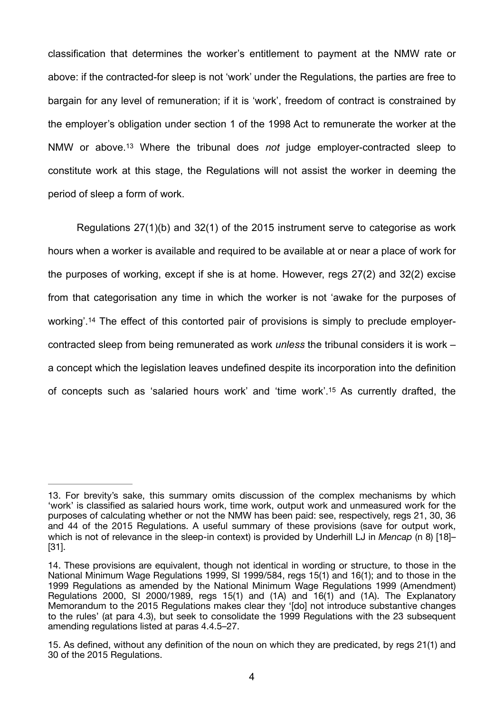classification that determines the worker's entitlement to payment at the NMW rate or above: if the contracted-for sleep is not 'work' under the Regulations, the parties are free to bargain for any level of remuneration; if it is 'work', freedom of contract is constrained by the employer's obligation under section 1 of the 1998 Act to remunerate the worker at the NMWor above.<sup>13</sup> Where the tribunal does *not* judge employer-contracted sleep to constitute work at this stage, the Regulations will not assist the worker in deeming the period of sleep a form of work.

<span id="page-3-4"></span><span id="page-3-3"></span>Regulations 27(1)(b) and 32(1) of the 2015 instrument serve to categorise as work hours when a worker is available and required to be available at or near a place of work for the purposes of working, except if she is at home. However, regs 27(2) and 32(2) excise from that categorisation any time in which the worker is not 'awake for the purposes of working'.<sup>14</sup> The effect of this contorted pair of provisions is simply to preclude employercontracted sleep from being remunerated as work *unless* the tribunal considers it is work – a concept which the legislation leaves undefined despite its incorporation into the definition ofconcepts such as 'salaried hours work' and 'time work'.<sup>[15](#page-3-2)</sup> As currently drafted, the

<span id="page-3-5"></span><span id="page-3-0"></span>[<sup>13.</sup>](#page-3-3) For brevity's sake, this summary omits discussion of the complex mechanisms by which 'work' is classified as salaried hours work, time work, output work and unmeasured work for the purposes of calculating whether or not the NMW has been paid: see, respectively, regs 21, 30, 36 and 44 of the 2015 Regulations. A useful summary of these provisions (save for output work, which is not of relevance in the sleep-in context) is provided by Underhill LJ in *Mencap* (n 8) [18]– [31].

<span id="page-3-1"></span>[<sup>14.</sup>](#page-3-4) These provisions are equivalent, though not identical in wording or structure, to those in the National Minimum Wage Regulations 1999, SI 1999/584, regs 15(1) and 16(1); and to those in the 1999 Regulations as amended by the National Minimum Wage Regulations 1999 (Amendment) Regulations 2000, SI 2000/1989, regs 15(1) and (1A) and 16(1) and (1A). The Explanatory Memorandum to the 2015 Regulations makes clear they '[do] not introduce substantive changes to the rules' (at para 4.3), but seek to consolidate the 1999 Regulations with the 23 subsequent amending regulations listed at paras 4.4.5–27.

<span id="page-3-2"></span>[<sup>15.</sup>](#page-3-5) As defined, without any definition of the noun on which they are predicated, by regs 21(1) and 30 of the 2015 Regulations.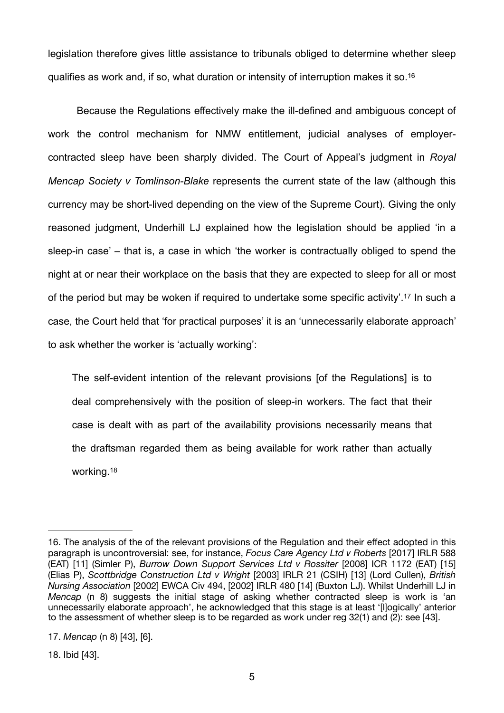<span id="page-4-3"></span>legislation therefore gives little assistance to tribunals obliged to determine whether sleep qualifies as work and, if so, what duration or intensity of interruption makes it so. [16](#page-4-0)

Because the Regulations effectively make the ill-defined and ambiguous concept of work the control mechanism for NMW entitlement, judicial analyses of employercontracted sleep have been sharply divided. The Court of Appeal's judgment in *Royal Mencap Society v Tomlinson-Blake* represents the current state of the law (although this currency may be short-lived depending on the view of the Supreme Court). Giving the only reasoned judgment, Underhill LJ explained how the legislation should be applied 'in a sleep-in case' – that is, a case in which 'the worker is contractually obliged to spend the night at or near their workplace on the basis that they are expected to sleep for all or most ofthe period but may be woken if required to undertake some specific activity'.<sup>[17](#page-4-1)</sup> In such a case, the Court held that 'for practical purposes' it is an 'unnecessarily elaborate approach' to ask whether the worker is 'actually working':

<span id="page-4-4"></span>The self-evident intention of the relevant provisions [of the Regulations] is to deal comprehensively with the position of sleep-in workers. The fact that their case is dealt with as part of the availability provisions necessarily means that the draftsman regarded them as being available for work rather than actually working.[18](#page-4-2)

<span id="page-4-5"></span><span id="page-4-0"></span>[<sup>16.</sup>](#page-4-3) The analysis of the of the relevant provisions of the Regulation and their effect adopted in this paragraph is uncontroversial: see, for instance, *Focus Care Agency Ltd v Roberts* [2017] IRLR 588 (EAT) [11] (Simler P), *Burrow Down Support Services Ltd v Rossiter* [2008] ICR 1172 (EAT) [15] (Elias P), *Scottbridge Construction Ltd v Wright* [2003] IRLR 21 (CSIH) [13] (Lord Cullen), *British Nursing Association* [2002] EWCA Civ 494, [2002] IRLR 480 [14] (Buxton LJ). Whilst Underhill LJ in *Mencap* (n 8) suggests the initial stage of asking whether contracted sleep is work is 'an unnecessarily elaborate approach', he acknowledged that this stage is at least '[l]ogically' anterior to the assessment of whether sleep is to be regarded as work under reg 32(1) and (2): see [43].

<span id="page-4-1"></span>[<sup>17.</sup>](#page-4-4) *Mencap* (n 8) [43], [6].

<span id="page-4-2"></span>[<sup>18.</sup>](#page-4-5) Ibid [43].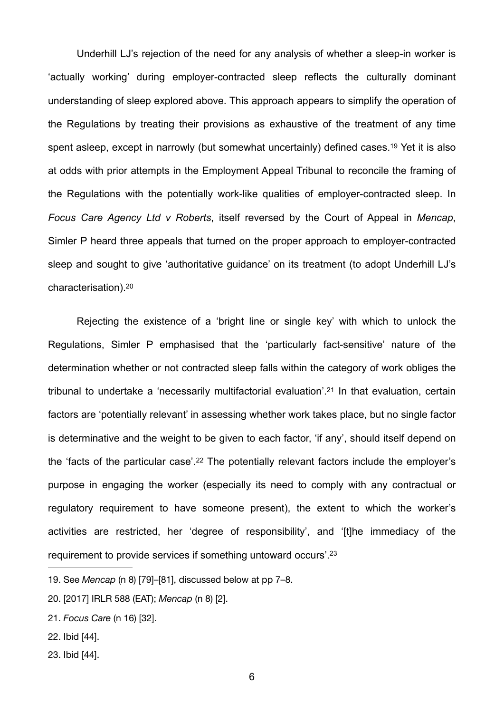<span id="page-5-5"></span>Underhill LJ's rejection of the need for any analysis of whether a sleep-in worker is 'actually working' during employer-contracted sleep reflects the culturally dominant understanding of sleep explored above. This approach appears to simplify the operation of the Regulations by treating their provisions as exhaustive of the treatment of any time spentasleep, except in narrowly (but somewhat uncertainly) defined cases.<sup>[19](#page-5-0)</sup> Yet it is also at odds with prior attempts in the Employment Appeal Tribunal to reconcile the framing of the Regulations with the potentially work-like qualities of employer-contracted sleep. In *Focus Care Agency Ltd v Roberts*, itself reversed by the Court of Appeal in *Mencap*, Simler P heard three appeals that turned on the proper approach to employer-contracted sleep and sought to give 'authoritative guidance' on its treatment (to adopt Underhill LJ's characterisation). [20](#page-5-1)

<span id="page-5-7"></span><span id="page-5-6"></span>Rejecting the existence of a 'bright line or single key' with which to unlock the Regulations, Simler P emphasised that the 'particularly fact-sensitive' nature of the determination whether or not contracted sleep falls within the category of work obliges the tribunal to undertake a 'necessarily multifactorial evaluation'[.](#page-5-2)<sup>[21](#page-5-2)</sup> In that evaluation, certain factors are 'potentially relevant' in assessing whether work takes place, but no single factor is determinative and the weight to be given to each factor, 'if any', should itself depend on the 'facts of the particular case'.<sup>[22](#page-5-3)</sup> The potentially relevant factors include the employer's purpose in engaging the worker (especially its need to comply with any contractual or regulatory requirement to have someone present), the extent to which the worker's activities are restricted, her 'degree of responsibility', and '[t]he immediacy of the requirement to provide services if something untoward occurs'.[23](#page-5-4)

- <span id="page-5-3"></span>[22.](#page-5-8) Ibid [44].
- <span id="page-5-4"></span>[23.](#page-5-9) Ibid [44].

<span id="page-5-9"></span>6

<span id="page-5-8"></span><span id="page-5-0"></span>[<sup>19.</sup>](#page-5-5) See *Mencap* (n 8) [79]–[81], discussed below at pp 7–8.

<span id="page-5-1"></span>[<sup>20.</sup>](#page-5-6) [2017] IRLR 588 (EAT); *Mencap* (n 8) [2].

<span id="page-5-2"></span>[<sup>21.</sup>](#page-5-7) *Focus Care* (n 16) [32].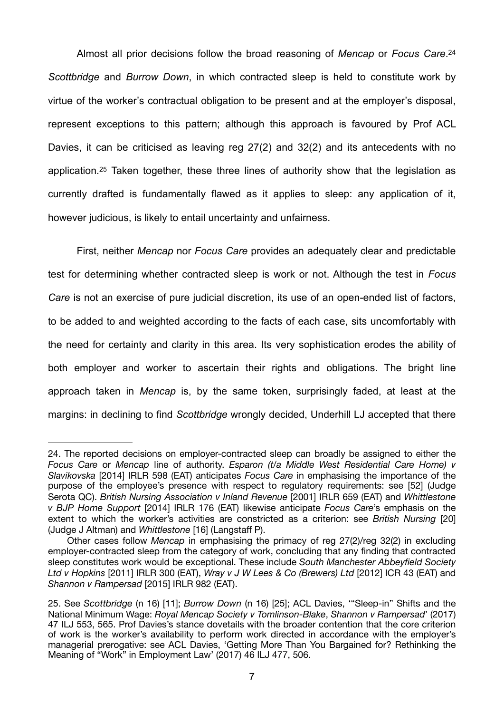<span id="page-6-2"></span>Almost all prior decisions follow the broad reasoning of *Mencap* or *Focus Care*.[24](#page-6-0) *Scottbridge* and *Burrow Down*, in which contracted sleep is held to constitute work by virtue of the worker's contractual obligation to be present and at the employer's disposal, represent exceptions to this pattern; although this approach is favoured by Prof ACL Davies, it can be criticised as leaving reg 27(2) and 32(2) and its antecedents with no application[.](#page-6-1)<sup>[25](#page-6-1)</sup> Taken together, these three lines of authority show that the legislation as currently drafted is fundamentally flawed as it applies to sleep: any application of it, however judicious, is likely to entail uncertainty and unfairness.

<span id="page-6-3"></span>First, neither *Mencap* nor *Focus Care* provides an adequately clear and predictable test for determining whether contracted sleep is work or not. Although the test in *Focus Care* is not an exercise of pure judicial discretion, its use of an open-ended list of factors, to be added to and weighted according to the facts of each case, sits uncomfortably with the need for certainty and clarity in this area. Its very sophistication erodes the ability of both employer and worker to ascertain their rights and obligations. The bright line approach taken in *Mencap* is, by the same token, surprisingly faded, at least at the margins: in declining to find *Scottbridge* wrongly decided, Underhill LJ accepted that there

<span id="page-6-0"></span>[<sup>24.</sup>](#page-6-2) The reported decisions on employer-contracted sleep can broadly be assigned to either the *Focus Care* or *Mencap* line of authority. *Esparon (t/a Middle West Residential Care Home) v Slavikovska* [2014] IRLR 598 (EAT) anticipates *Focus Care* in emphasising the importance of the purpose of the employee's presence with respect to regulatory requirements: see [52] (Judge Serota QC). *British Nursing Association v Inland Revenue* [2001] IRLR 659 (EAT) and *Whittlestone v BJP Home Support* [2014] IRLR 176 (EAT) likewise anticipate *Focus Care*'s emphasis on the extent to which the worker's activities are constricted as a criterion: see *British Nursing* [20] (Judge J Altman) and *Whittlestone* [16] (Langstaff P).

Other cases follow *Mencap* in emphasising the primacy of reg 27(2)/reg 32(2) in excluding employer-contracted sleep from the category of work, concluding that any finding that contracted sleep constitutes work would be exceptional. These include *South Manchester Abbeyfield Society Ltd v Hopkins* [2011] IRLR 300 (EAT), *Wray v J W Lees & Co (Brewers) Ltd* [2012] ICR 43 (EAT) and *Shannon v Rampersad* [2015] IRLR 982 (EAT).

<span id="page-6-1"></span>[<sup>25.</sup>](#page-6-3) See *Scottbridge* (n 16) [11]; *Burrow Down* (n 16) [25]; ACL Davies, '"Sleep-in" Shifts and the National Minimum Wage: *Royal Mencap Society v Tomlinson-Blake*, *Shannon v Rampersad*' (2017) 47 ILJ 553, 565. Prof Davies's stance dovetails with the broader contention that the core criterion of work is the worker's availability to perform work directed in accordance with the employer's managerial prerogative: see ACL Davies, 'Getting More Than You Bargained for? Rethinking the Meaning of "Work" in Employment Law' (2017) 46 ILJ 477, 506.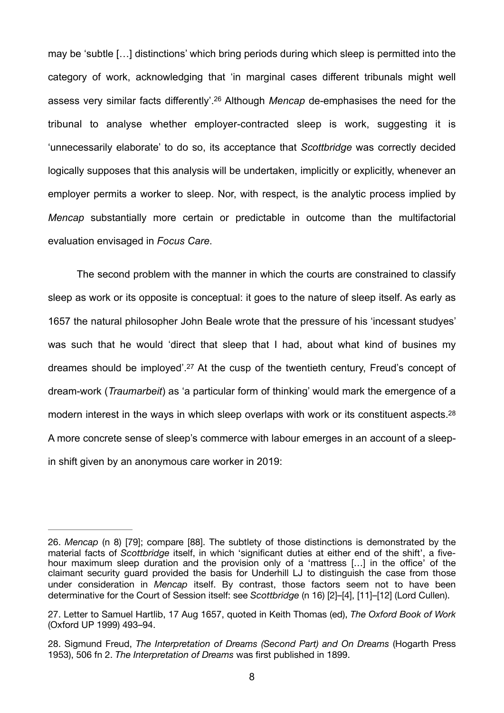<span id="page-7-3"></span>may be 'subtle […] distinctions' which bring periods during which sleep is permitted into the category of work, acknowledging that 'in marginal cases different tribunals might well assessvery similar facts differently<sup>'.26</sup> Although *Mencap* de-emphasises the need for the tribunal to analyse whether employer-contracted sleep is work, suggesting it is 'unnecessarily elaborate' to do so, its acceptance that *Scottbridge* was correctly decided logically supposes that this analysis will be undertaken, implicitly or explicitly, whenever an employer permits a worker to sleep. Nor, with respect, is the analytic process implied by *Mencap* substantially more certain or predictable in outcome than the multifactorial evaluation envisaged in *Focus Care*.

<span id="page-7-4"></span>The second problem with the manner in which the courts are constrained to classify sleep as work or its opposite is conceptual: it goes to the nature of sleep itself. As early as 1657 the natural philosopher John Beale wrote that the pressure of his 'incessant studyes' was such that he would 'direct that sleep that I had, about what kind of busines my dreames should be imployed'.<sup>[27](#page-7-1)</sup> At the cusp of the twentieth century, Freud's concept of dream-work (*Traumarbeit*) as 'a particular form of thinking' would mark the emergence of a modern interest in the ways in which sleep overlaps with work or its constituent aspects.<sup>[28](#page-7-2)</sup> A more concrete sense of sleep's commerce with labour emerges in an account of a sleepin shift given by an anonymous care worker in 2019:

<span id="page-7-5"></span><span id="page-7-0"></span>[<sup>26.</sup>](#page-7-3) *Mencap* (n 8) [79]; compare [88]. The subtlety of those distinctions is demonstrated by the material facts of *Scottbridge* itself, in which 'significant duties at either end of the shift', a fivehour maximum sleep duration and the provision only of a 'mattress […] in the office' of the claimant security guard provided the basis for Underhill LJ to distinguish the case from those under consideration in *Mencap* itself. By contrast, those factors seem not to have been determinative for the Court of Session itself: see *Scottbridge* (n 16) [2]–[4], [11]–[12] (Lord Cullen).

<span id="page-7-1"></span>[<sup>27.</sup>](#page-7-4) Letter to Samuel Hartlib, 17 Aug 1657, quoted in Keith Thomas (ed), *The Oxford Book of Work* (Oxford UP 1999) 493–94.

<span id="page-7-2"></span>[<sup>28.</sup>](#page-7-5) Sigmund Freud, *The Interpretation of Dreams (Second Part) and On Dreams* (Hogarth Press 1953), 506 fn 2. *The Interpretation of Dreams* was first published in 1899.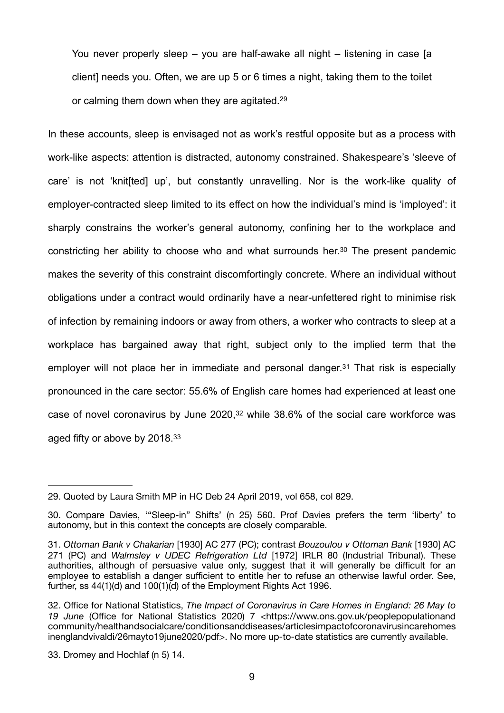<span id="page-8-5"></span>You never properly sleep – you are half-awake all night – listening in case [a client] needs you. Often, we are up 5 or 6 times a night, taking them to the toilet or calming them down when they are agitated[.29](#page-8-0)

<span id="page-8-6"></span>In these accounts, sleep is envisaged not as work's restful opposite but as a process with work-like aspects: attention is distracted, autonomy constrained. Shakespeare's 'sleeve of care' is not 'knit[ted] up', but constantly unravelling. Nor is the work-like quality of employer-contracted sleep limited to its effect on how the individual's mind is 'imployed': it sharply constrains the worker's general autonomy, confining her to the workplace and constricting her ability to choose who and what surrounds her.<sup>[30](#page-8-1)</sup> The present pandemic makes the severity of this constraint discomfortingly concrete. Where an individual without obligations under a contract would ordinarily have a near-unfettered right to minimise risk of infection by remaining indoors or away from others, a worker who contracts to sleep at a workplace has bargained away that right, subject only to the implied term that the employer will not place her in immediate and personal danger[.](#page-8-2)<sup>[31](#page-8-2)</sup> That risk is especially pronounced in the care sector: 55.6% of English care homes had experienced at least one case of novel coronavirus by June  $2020$ [,](#page-8-3)  $32$  while  $38.6\%$  of the social care workforce was aged fifty or above by 2018.[33](#page-8-4)

<span id="page-8-9"></span><span id="page-8-8"></span><span id="page-8-7"></span><span id="page-8-0"></span>[<sup>29.</sup>](#page-8-5) Quoted by Laura Smith MP in HC Deb 24 April 2019, vol 658, col 829.

<span id="page-8-1"></span>[<sup>30.</sup>](#page-8-6) Compare Davies, '"Sleep-in" Shifts' (n 25) 560. Prof Davies prefers the term 'liberty' to autonomy, but in this context the concepts are closely comparable.

<span id="page-8-2"></span>[<sup>31.</sup>](#page-8-7) *Ottoman Bank v Chakarian* [1930] AC 277 (PC); contrast *Bouzoulou v Ottoman Bank* [1930] AC 271 (PC) and *Walmsley v UDEC Refrigeration Ltd* [1972] IRLR 80 (Industrial Tribunal). These authorities, although of persuasive value only, suggest that it will generally be difficult for an employee to establish a danger sufficient to entitle her to refuse an otherwise lawful order. See, further, ss 44(1)(d) and 100(1)(d) of the Employment Rights Act 1996.

<span id="page-8-3"></span>[<sup>32.</sup>](#page-8-8) Office for National Statistics, *The Impact of Coronavirus in Care Homes in England: 26 May to 19 June* (Office for National Statistics 2020) 7 <https://www.ons.gov.uk/peoplepopulationand community/healthandsocialcare/conditionsanddiseases/articlesimpactofcoronavirusincarehomes inenglandvivaldi/26mayto19june2020/pdf>. No more up-to-date statistics are currently available.

<span id="page-8-4"></span>[<sup>33.</sup>](#page-8-9) Dromey and Hochlaf (n 5) 14.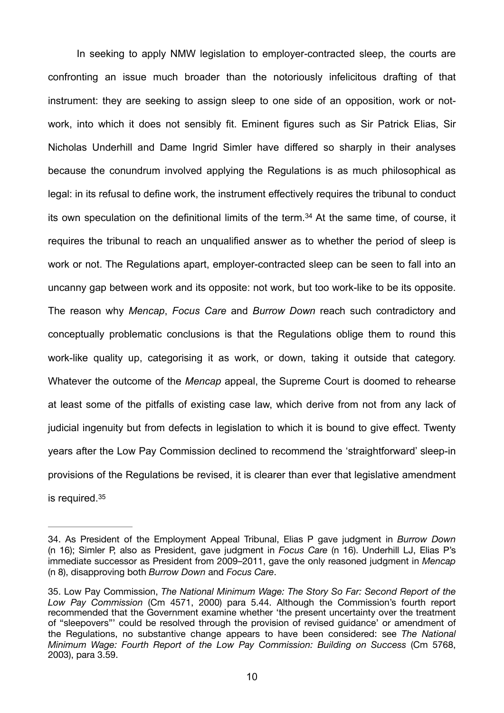<span id="page-9-2"></span>In seeking to apply NMW legislation to employer-contracted sleep, the courts are confronting an issue much broader than the notoriously infelicitous drafting of that instrument: they are seeking to assign sleep to one side of an opposition, work or notwork, into which it does not sensibly fit. Eminent figures such as Sir Patrick Elias, Sir Nicholas Underhill and Dame Ingrid Simler have differed so sharply in their analyses because the conundrum involved applying the Regulations is as much philosophical as legal: in its refusal to define work, the instrument effectively requires the tribunal to conduct its own speculation on the definitional limits of the term[.](#page-9-0)<sup>[34](#page-9-0)</sup> At the same time, of course, it requires the tribunal to reach an unqualified answer as to whether the period of sleep is work or not. The Regulations apart, employer-contracted sleep can be seen to fall into an uncanny gap between work and its opposite: not work, but too work-like to be its opposite. The reason why *Mencap*, *Focus Care* and *Burrow Down* reach such contradictory and conceptually problematic conclusions is that the Regulations oblige them to round this work-like quality up, categorising it as work, or down, taking it outside that category. Whatever the outcome of the *Mencap* appeal, the Supreme Court is doomed to rehearse at least some of the pitfalls of existing case law, which derive from not from any lack of judicial ingenuity but from defects in legislation to which it is bound to give effect. Twenty years after the Low Pay Commission declined to recommend the 'straightforward' sleep-in provisions of the Regulations be revised, it is clearer than ever that legislative amendment is required[.35](#page-9-1)

<span id="page-9-3"></span><span id="page-9-0"></span>[<sup>34.</sup>](#page-9-2) As President of the Employment Appeal Tribunal, Elias P gave judgment in *Burrow Down* (n 16); Simler P, also as President, gave judgment in *Focus Care* (n 16). Underhill LJ, Elias P's immediate successor as President from 2009–2011, gave the only reasoned judgment in *Mencap* (n 8), disapproving both *Burrow Down* and *Focus Care*.

<span id="page-9-1"></span>[<sup>35.</sup>](#page-9-3) Low Pay Commission, *The National Minimum Wage: The Story So Far: Second Report of the Low Pay Commission* (Cm 4571, 2000) para 5.44. Although the Commission's fourth report recommended that the Government examine whether 'the present uncertainty over the treatment of "sleepovers"' could be resolved through the provision of revised guidance' or amendment of the Regulations, no substantive change appears to have been considered: see *The National Minimum Wage: Fourth Report of the Low Pay Commission: Building on Success* (Cm 5768, 2003), para 3.59.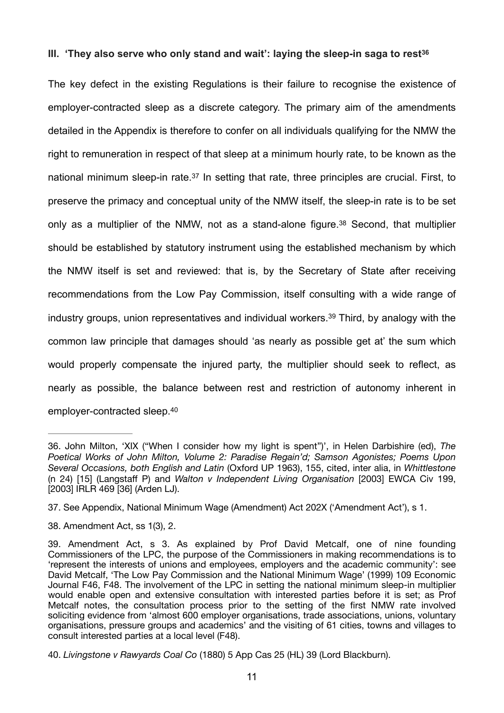### <span id="page-10-5"></span>**III. 'They also serve who only stand and wait': laying the sleep-in saga to rest<sup>36</sup>**

<span id="page-10-7"></span><span id="page-10-6"></span>The key defect in the existing Regulations is their failure to recognise the existence of employer-contracted sleep as a discrete category. The primary aim of the amendments detailed in the Appendix is therefore to confer on all individuals qualifying for the NMW the right to remuneration in respect of that sleep at a minimum hourly rate, to be known as the national minimum sleep-in rate.<sup>[37](#page-10-1)</sup> In setting that rate, three principles are crucial. First, to preserve the primacy and conceptual unity of the NMW itself, the sleep-in rate is to be set only as a multiplier of the NMW, not as a stand-alone figure[.](#page-10-2)<sup>[38](#page-10-2)</sup> Second, that multiplier should be established by statutory instrument using the established mechanism by which the NMW itself is set and reviewed: that is, by the Secretary of State after receiving recommendations from the Low Pay Commission, itself consulting with a wide range of industrygroups, union representatives and individual workers.<sup>[39](#page-10-3)</sup> Third, by analogy with the common law principle that damages should 'as nearly as possible get at' the sum which would properly compensate the injured party, the multiplier should seek to reflect, as nearly as possible, the balance between rest and restriction of autonomy inherent in employer-contracted sleep[.](#page-10-4) [40](#page-10-4)

<span id="page-10-9"></span><span id="page-10-8"></span><span id="page-10-0"></span>[<sup>36.</sup>](#page-10-5) John Milton, 'XIX ("When I consider how my light is spent")', in Helen Darbishire (ed), *The Poetical Works of John Milton, Volume 2: Paradise Regain'd; Samson Agonistes; Poems Upon Several Occasions, both English and Latin* (Oxford UP 1963), 155, cited, inter alia, in *Whittlestone*  (n 24) [15] (Langstaff P) and *Walton v Independent Living Organisation* [2003] EWCA Civ 199, [2003] IRLR 469 [36] (Arden LJ).

<span id="page-10-1"></span>[<sup>37.</sup>](#page-10-6) See Appendix, National Minimum Wage (Amendment) Act 202X ('Amendment Act'), s 1.

<span id="page-10-2"></span>[<sup>38.</sup>](#page-10-7) Amendment Act, ss 1(3), 2.

<span id="page-10-3"></span>[<sup>39.</sup>](#page-10-8) Amendment Act, s 3. As explained by Prof David Metcalf, one of nine founding Commissioners of the LPC, the purpose of the Commissioners in making recommendations is to 'represent the interests of unions and employees, employers and the academic community': see David Metcalf, 'The Low Pay Commission and the National Minimum Wage' (1999) 109 Economic Journal F46, F48. The involvement of the LPC in setting the national minimum sleep-in multiplier would enable open and extensive consultation with interested parties before it is set; as Prof Metcalf notes, the consultation process prior to the setting of the first NMW rate involved soliciting evidence from 'almost 600 employer organisations, trade associations, unions, voluntary organisations, pressure groups and academics' and the visiting of 61 cities, towns and villages to consult interested parties at a local level (F48).

<span id="page-10-4"></span>[<sup>40.</sup>](#page-10-9) *Livingstone v Rawyards Coal Co* (1880) 5 App Cas 25 (HL) 39 (Lord Blackburn).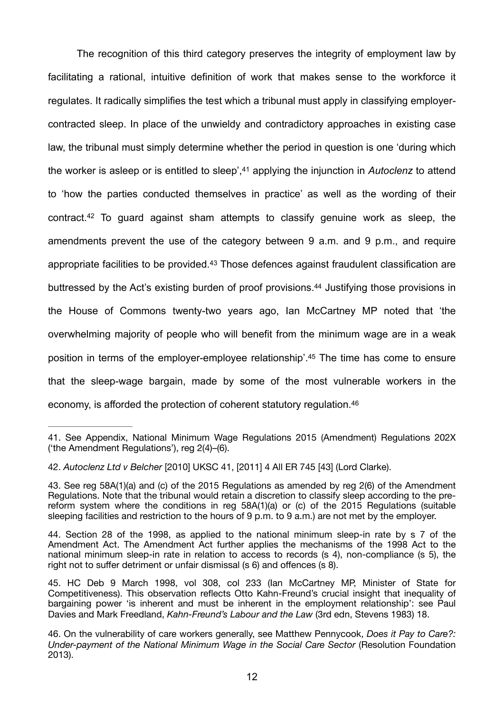<span id="page-11-7"></span><span id="page-11-6"></span>The recognition of this third category preserves the integrity of employment law by facilitating a rational, intuitive definition of work that makes sense to the workforce it regulates. It radically simplifies the test which a tribunal must apply in classifying employercontracted sleep. In place of the unwieldy and contradictory approaches in existing case law, the tribunal must simply determine whether the period in question is one 'during which the worker is asleep or is entitled to sleep',<sup>41</sup> applying the injunction in *Autoclenz* to attend to 'how the parties conducted themselves in practice' as well as the wording of their contract.<sup>42</sup>To guard against sham attempts to classify genuine work as sleep, the amendments prevent the use of the category between 9 a.m. and 9 p.m., and require appropriatefacilities to be provided.<sup>[43](#page-11-2)</sup> Those defences against fraudulent classification are buttressed by the Act's existing burden of proof provisions[.](#page-11-3)<sup>[44](#page-11-3)</sup> Justifying those provisions in the House of Commons twenty-two years ago, Ian McCartney MP noted that 'the overwhelming majority of people who will benefit from the minimum wage are in a weak position in terms of the employer-employee relationship'.<sup>[45](#page-11-4)</sup> The time has come to ensure that the sleep-wage bargain, made by some of the most vulnerable workers in the economy, is afforded the protection of coherent statutory regulation[.46](#page-11-5)

<span id="page-11-11"></span><span id="page-11-10"></span><span id="page-11-9"></span><span id="page-11-8"></span><span id="page-11-0"></span>[<sup>41.</sup>](#page-11-6) See Appendix, National Minimum Wage Regulations 2015 (Amendment) Regulations 202X ('the Amendment Regulations'), reg 2(4)–(6).

<span id="page-11-1"></span>[<sup>42.</sup>](#page-11-7) *Autoclenz Ltd v Belcher* [2010] UKSC 41, [2011] 4 All ER 745 [43] (Lord Clarke).

<span id="page-11-2"></span>[<sup>43.</sup>](#page-11-8) See reg 58A(1)(a) and (c) of the 2015 Regulations as amended by reg 2(6) of the Amendment Regulations. Note that the tribunal would retain a discretion to classify sleep according to the prereform system where the conditions in reg 58A(1)(a) or (c) of the 2015 Regulations (suitable sleeping facilities and restriction to the hours of 9 p.m. to 9 a.m.) are not met by the employer.

<span id="page-11-3"></span>[<sup>44.</sup>](#page-11-9) Section 28 of the 1998, as applied to the national minimum sleep-in rate by s 7 of the Amendment Act. The Amendment Act further applies the mechanisms of the 1998 Act to the national minimum sleep-in rate in relation to access to records (s 4), non-compliance (s 5), the right not to suffer detriment or unfair dismissal (s 6) and offences (s 8).

<span id="page-11-4"></span>[<sup>45.</sup>](#page-11-10) HC Deb 9 March 1998, vol 308, col 233 (Ian McCartney MP, Minister of State for Competitiveness). This observation reflects Otto Kahn-Freund's crucial insight that inequality of bargaining power 'is inherent and must be inherent in the employment relationship': see Paul Davies and Mark Freedland, *Kahn-Freund's Labour and the Law* (3rd edn, Stevens 1983) 18.

<span id="page-11-5"></span>[<sup>46.</sup>](#page-11-11) On the vulnerability of care workers generally, see Matthew Pennycook, *Does it Pay to Care?: Under-payment of the National Minimum Wage in the Social Care Sector* (Resolution Foundation 2013).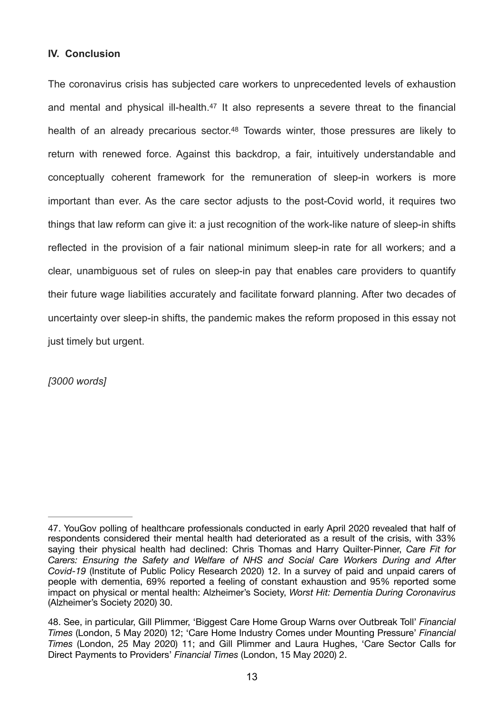# **IV. Conclusion**

<span id="page-12-3"></span><span id="page-12-2"></span>The coronavirus crisis has subjected care workers to unprecedented levels of exhaustion and mental and physical ill-health. $47$  It also represents a severe threat to the financial health of an already precarious sector.<sup>[48](#page-12-1)</sup> Towards winter, those pressures are likely to return with renewed force. Against this backdrop, a fair, intuitively understandable and conceptually coherent framework for the remuneration of sleep-in workers is more important than ever. As the care sector adjusts to the post-Covid world, it requires two things that law reform can give it: a just recognition of the work-like nature of sleep-in shifts reflected in the provision of a fair national minimum sleep-in rate for all workers; and a clear, unambiguous set of rules on sleep-in pay that enables care providers to quantify their future wage liabilities accurately and facilitate forward planning. After two decades of uncertainty over sleep-in shifts, the pandemic makes the reform proposed in this essay not just timely but urgent.

*[3000 words]*

<span id="page-12-0"></span>[<sup>47.</sup>](#page-12-2) YouGov polling of healthcare professionals conducted in early April 2020 revealed that half of respondents considered their mental health had deteriorated as a result of the crisis, with 33% saying their physical health had declined: Chris Thomas and Harry Quilter-Pinner, *Care Fit for Carers: Ensuring the Safety and Welfare of NHS and Social Care Workers During and After Covid-19* (Institute of Public Policy Research 2020) 12. In a survey of paid and unpaid carers of people with dementia, 69% reported a feeling of constant exhaustion and 95% reported some impact on physical or mental health: Alzheimer's Society, *Worst Hit: Dementia During Coronavirus* (Alzheimer's Society 2020) 30.

<span id="page-12-1"></span>[<sup>48.</sup>](#page-12-3) See, in particular, Gill Plimmer, 'Biggest Care Home Group Warns over Outbreak Toll' *Financial Times* (London, 5 May 2020) 12; 'Care Home Industry Comes under Mounting Pressure' *Financial Times* (London, 25 May 2020) 11; and Gill Plimmer and Laura Hughes, 'Care Sector Calls for Direct Payments to Providers' *Financial Times* (London, 15 May 2020) 2.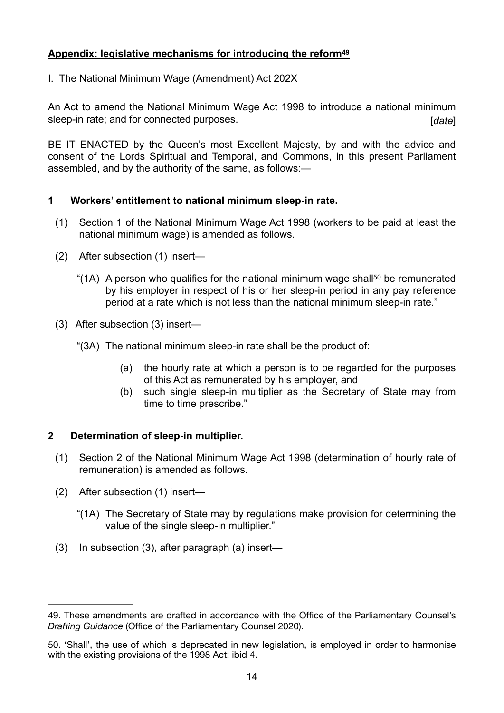# <span id="page-13-2"></span>**Appendix: legislative mechanisms for introducing the refor[m49](#page-13-0)**

## I. The National Minimum Wage (Amendment) Act 202X

An Act to amend the National Minimum Wage Act 1998 to introduce a national minimum sleep-in rate; and for connected purposes. *date*  $\lceil$ 

BE IT ENACTED by the Queen's most Excellent Majesty, by and with the advice and consent of the Lords Spiritual and Temporal, and Commons, in this present Parliament assembled, and by the authority of the same, as follows:—

## **1 Workers' entitlement to national minimum sleep-in rate.**

- (1) Section 1 of the National Minimum Wage Act 1998 (workers to be paid at least the national minimum wage) is amended as follows.
- <span id="page-13-3"></span>(2) After subsection (1) insert
	- "(1A) A person who qua[l](#page-13-1)ifies for the national minimum wage shall<sup>[50](#page-13-1)</sup> be remunerated by his employer in respect of his or her sleep-in period in any pay reference period at a rate which is not less than the national minimum sleep-in rate."
- (3) After subsection (3) insert—
	- "(3A) The national minimum sleep-in rate shall be the product of:
		- (a) the hourly rate at which a person is to be regarded for the purposes of this Act as remunerated by his employer, and
		- (b) such single sleep-in multiplier as the Secretary of State may from time to time prescribe."

### **2 Determination of sleep-in multiplier.**

- (1) Section 2 of the National Minimum Wage Act 1998 (determination of hourly rate of remuneration) is amended as follows.
- (2) After subsection (1) insert—
	- "(1A) The Secretary of State may by regulations make provision for determining the value of the single sleep-in multiplier."
- (3) In subsection (3), after paragraph (a) insert—

<span id="page-13-0"></span>[<sup>49.</sup>](#page-13-2) These amendments are drafted in accordance with the Office of the Parliamentary Counsel's *Drafting Guidance* (Office of the Parliamentary Counsel 2020).

<span id="page-13-1"></span>[<sup>50.</sup>](#page-13-3) 'Shall', the use of which is deprecated in new legislation, is employed in order to harmonise with the existing provisions of the 1998 Act: ibid 4.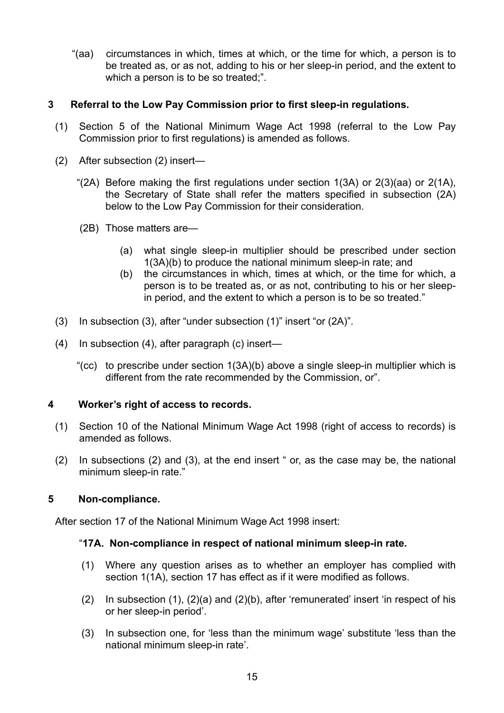"(aa) circumstances in which, times at which, or the time for which, a person is to be treated as, or as not, adding to his or her sleep-in period, and the extent to which a person is to be so treated;".

# **3 Referral to the Low Pay Commission prior to first sleep-in regulations.**

- (1) Section 5 of the National Minimum Wage Act 1998 (referral to the Low Pay Commission prior to first regulations) is amended as follows.
- (2) After subsection (2) insert—
	- "(2A) Before making the first regulations under section  $1(3A)$  or  $2(3)(aa)$  or  $2(1A)$ , the Secretary of State shall refer the matters specified in subsection (2A) below to the Low Pay Commission for their consideration.
	- (2B) Those matters are—
		- (a) what single sleep-in multiplier should be prescribed under section 1(3A)(b) to produce the national minimum sleep-in rate; and
		- (b) the circumstances in which, times at which, or the time for which, a person is to be treated as, or as not, contributing to his or her sleepin period, and the extent to which a person is to be so treated."
- (3) In subsection (3), after "under subsection (1)" insert "or (2A)".
- (4) In subsection (4), after paragraph (c) insert—
	- "(cc) to prescribe under section 1(3A)(b) above a single sleep-in multiplier which is different from the rate recommended by the Commission, or".

# **4 Worker's right of access to records.**

- (1) Section 10 of the National Minimum Wage Act 1998 (right of access to records) is amended as follows.
- (2) In subsections (2) and (3), at the end insert " or, as the case may be, the national minimum sleep-in rate."

# **5 Non-compliance.**

After section 17 of the National Minimum Wage Act 1998 insert:

# "**17A. Non-compliance in respect of national minimum sleep-in rate.**

- (1) Where any question arises as to whether an employer has complied with section 1(1A), section 17 has effect as if it were modified as follows.
- (2) In subsection (1), (2)(a) and (2)(b), after 'remunerated' insert 'in respect of his or her sleep-in period'.
- (3) In subsection one, for 'less than the minimum wage' substitute 'less than the national minimum sleep-in rate'.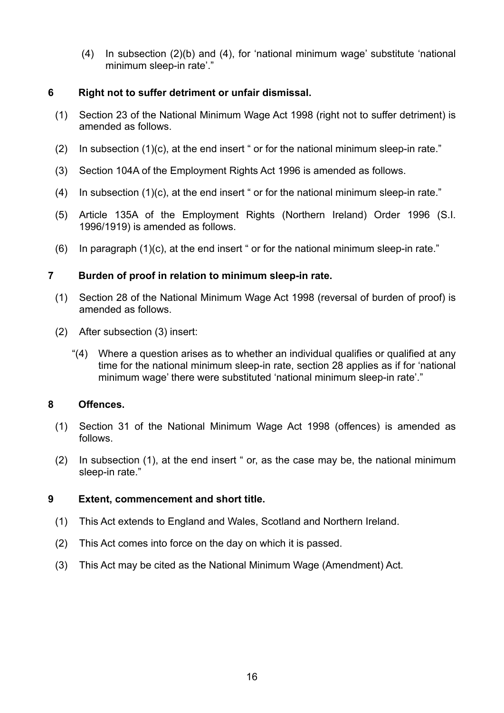(4) In subsection (2)(b) and (4), for 'national minimum wage' substitute 'national minimum sleep-in rate'."

## **6 Right not to suffer detriment or unfair dismissal.**

- (1) Section 23 of the National Minimum Wage Act 1998 (right not to suffer detriment) is amended as follows.
- (2) In subsection (1)(c), at the end insert " or for the national minimum sleep-in rate."
- (3) Section 104A of the Employment Rights Act 1996 is amended as follows.
- (4) In subsection (1)(c), at the end insert " or for the national minimum sleep-in rate."
- (5) Article 135A of the Employment Rights (Northern Ireland) Order 1996 (S.I. 1996/1919) is amended as follows.
- (6) In paragraph (1)(c), at the end insert " or for the national minimum sleep-in rate."

## **7 Burden of proof in relation to minimum sleep-in rate.**

- (1) Section 28 of the National Minimum Wage Act 1998 (reversal of burden of proof) is amended as follows.
- (2) After subsection (3) insert:
	- "(4) Where a question arises as to whether an individual qualifies or qualified at any time for the national minimum sleep-in rate, section 28 applies as if for 'national minimum wage' there were substituted 'national minimum sleep-in rate'."

### **8 Offences.**

- (1) Section 31 of the National Minimum Wage Act 1998 (offences) is amended as follows.
- (2) In subsection (1), at the end insert " or, as the case may be, the national minimum sleep-in rate."

### **9 Extent, commencement and short title.**

- (1) This Act extends to England and Wales, Scotland and Northern Ireland.
- (2) This Act comes into force on the day on which it is passed.
- (3) This Act may be cited as the National Minimum Wage (Amendment) Act.